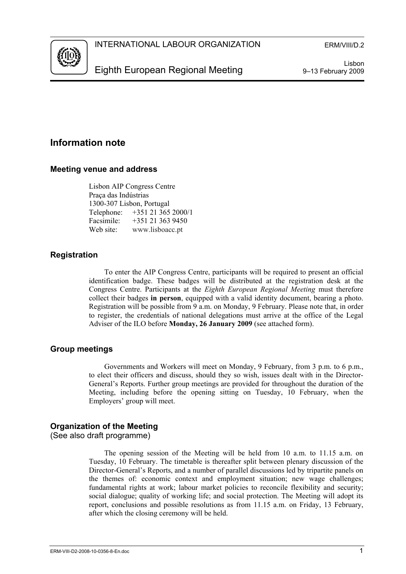

Lisbon 9–13 February 2009

# **Information note**

## **Meeting venue and address**

Lisbon AIP Congress Centre Praça das Indústrias 1300-307 Lisbon, Portugal Telephone: +351 21 365 2000/1 Facsimile: +351 21 363 9450 Web site: www.lisboacc.pt

## **Registration**

To enter the AIP Congress Centre, participants will be required to present an official identification badge. These badges will be distributed at the registration desk at the Congress Centre. Participants at the *Eighth European Regional Meeting* must therefore collect their badges **in person**, equipped with a valid identity document, bearing a photo. Registration will be possible from 9 a.m. on Monday, 9 February. Please note that, in order to register, the credentials of national delegations must arrive at the office of the Legal Adviser of the ILO before **Monday, 26 January 2009** (see attached form).

## **Group meetings**

Governments and Workers will meet on Monday, 9 February, from 3 p.m. to 6 p.m., to elect their officers and discuss, should they so wish, issues dealt with in the Director-General's Reports. Further group meetings are provided for throughout the duration of the Meeting, including before the opening sitting on Tuesday, 10 February, when the Employers' group will meet.

## **Organization of the Meeting**

(See also draft programme)

The opening session of the Meeting will be held from 10 a.m. to 11.15 a.m. on Tuesday, 10 February. The timetable is thereafter split between plenary discussion of the Director-General's Reports, and a number of parallel discussions led by tripartite panels on the themes of: economic context and employment situation; new wage challenges; fundamental rights at work; labour market policies to reconcile flexibility and security; social dialogue; quality of working life; and social protection. The Meeting will adopt its report, conclusions and possible resolutions as from 11.15 a.m. on Friday, 13 February, after which the closing ceremony will be held.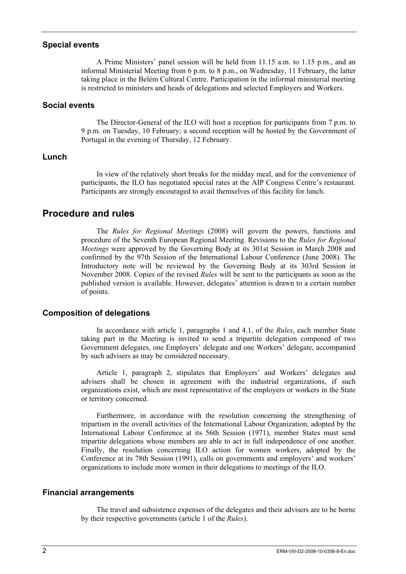### **Special events**

A Prime Ministers' panel session will be held from 11.15 a.m. to 1.15 p.m., and an informal Ministerial Meeting from 6 p.m. to 8 p.m., on Wednesday, 11 February, the latter taking place in the Belém Cultural Centre. Participation in the informal ministerial meeting is restricted to ministers and heads of delegations and selected Employers and Workers.

### **Social events**

The Director-General of the ILO will host a reception for participants from 7 p.m. to 9 p.m. on Tuesday, 10 February; a second reception will be hosted by the Government of Portugal in the evening of Thursday, 12 February.

## **Lunch**

In view of the relatively short breaks for the midday meal, and for the convenience of participants, the ILO has negotiated special rates at the AIP Congress Centre's restaurant. Participants are strongly encouraged to avail themselves of this facility for lunch.

## **Procedure and rules**

The *Rules for Regional Meetings* (2008) will govern the powers, functions and procedure of the Seventh European Regional Meeting. Revisions to the *Rules for Regional Meetings* were approved by the Governing Body at its 301st Session in March 2008 and confirmed by the 97th Session of the International Labour Conference (June 2008). The Introductory note will be reviewed by the Governing Body at its 303rd Session in November 2008. Copies of the revised *Rules* will be sent to the participants as soon as the published version is available. However, delegates' attention is drawn to a certain number of points.

## **Composition of delegations**

In accordance with article 1, paragraphs 1 and 4.1, of the *Rules*, each member State taking part in the Meeting is invited to send a tripartite delegation composed of two Government delegates, one Employers' delegate and one Workers' delegate, accompanied by such advisers as may be considered necessary.

Article 1, paragraph 2, stipulates that Employers' and Workers' delegates and advisers shall be chosen in agreement with the industrial organizations, if such organizations exist, which are most representative of the employers or workers in the State or territory concerned.

Furthermore, in accordance with the resolution concerning the strengthening of tripartism in the overall activities of the International Labour Organization, adopted by the International Labour Conference at its 56th Session (1971), member States must send tripartite delegations whose members are able to act in full independence of one another. Finally, the resolution concerning ILO action for women workers, adopted by the Conference at its 78th Session (1991), calls on governments and employers' and workers' organizations to include more women in their delegations to meetings of the ILO.

## **Financial arrangements**

The travel and subsistence expenses of the delegates and their advisers are to be borne by their respective governments (article 1 of the *Rules*).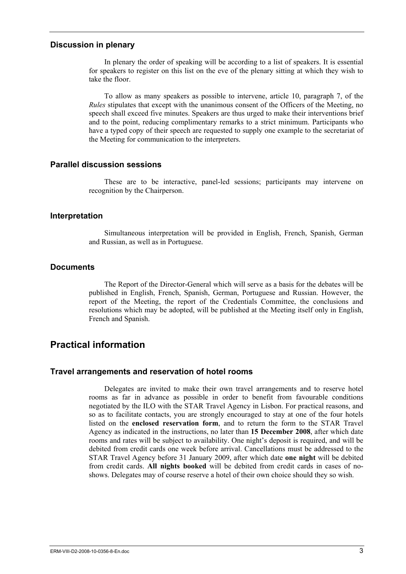#### **Discussion in plenary**

In plenary the order of speaking will be according to a list of speakers. It is essential for speakers to register on this list on the eve of the plenary sitting at which they wish to take the floor.

To allow as many speakers as possible to intervene, article 10, paragraph 7, of the *Rules* stipulates that except with the unanimous consent of the Officers of the Meeting, no speech shall exceed five minutes. Speakers are thus urged to make their interventions brief and to the point, reducing complimentary remarks to a strict minimum. Participants who have a typed copy of their speech are requested to supply one example to the secretariat of the Meeting for communication to the interpreters.

## **Parallel discussion sessions**

These are to be interactive, panel-led sessions; participants may intervene on recognition by the Chairperson.

#### **Interpretation**

Simultaneous interpretation will be provided in English, French, Spanish, German and Russian, as well as in Portuguese.

### **Documents**

The Report of the Director-General which will serve as a basis for the debates will be published in English, French, Spanish, German, Portuguese and Russian. However, the report of the Meeting, the report of the Credentials Committee, the conclusions and resolutions which may be adopted, will be published at the Meeting itself only in English, French and Spanish.

# **Practical information**

#### **Travel arrangements and reservation of hotel rooms**

Delegates are invited to make their own travel arrangements and to reserve hotel rooms as far in advance as possible in order to benefit from favourable conditions negotiated by the ILO with the STAR Travel Agency in Lisbon. For practical reasons, and so as to facilitate contacts, you are strongly encouraged to stay at one of the four hotels listed on the **enclosed reservation form**, and to return the form to the STAR Travel Agency as indicated in the instructions, no later than **15 December 2008**, after which date rooms and rates will be subject to availability. One night's deposit is required, and will be debited from credit cards one week before arrival. Cancellations must be addressed to the STAR Travel Agency before 31 January 2009, after which date **one night** will be debited from credit cards. **All nights booked** will be debited from credit cards in cases of noshows. Delegates may of course reserve a hotel of their own choice should they so wish.